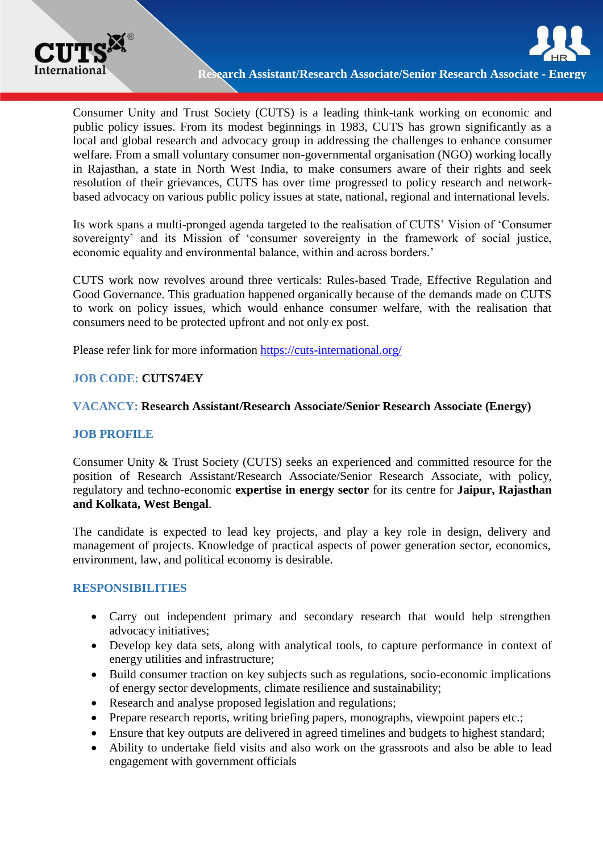

Consumer Unity and Trust Society (CUTS) is a leading think-tank working on economic and public policy issues. From its modest beginnings in 1983, CUTS has grown significantly as a local and global research and advocacy group in addressing the challenges to enhance consumer welfare. From a small voluntary consumer non-governmental organisation (NGO) working locally in Rajasthan, a state in North West India, to make consumers aware of their rights and seek resolution of their grievances, CUTS has over time progressed to policy research and networkbased advocacy on various public policy issues at state, national, regional and international levels.

Its work spans a multi-pronged agenda targeted to the realisation of CUTS' Vision of 'Consumer sovereignty' and its Mission of 'consumer sovereignty in the framework of social justice, economic equality and environmental balance, within and across borders.'

CUTS work now revolves around three verticals: Rules-based Trade, Effective Regulation and Good Governance. This graduation happened organically because of the demands made on CUTS to work on policy issues, which would enhance consumer welfare, with the realisation that consumers need to be protected upfront and not only ex post.

Please refer link for more information <https://cuts-international.org/>

# **JOB CODE: CUTS74EY**

## **VACANCY: Research Assistant/Research Associate/Senior Research Associate (Energy)**

#### **JOB PROFILE**

Consumer Unity & Trust Society (CUTS) seeks an experienced and committed resource for the position of Research Assistant/Research Associate/Senior Research Associate, with policy, regulatory and techno-economic **expertise in energy sector** for its centre for **Jaipur, Rajasthan and Kolkata, West Bengal**.

The candidate is expected to lead key projects, and play a key role in design, delivery and management of projects. Knowledge of practical aspects of power generation sector, economics, environment, law, and political economy is desirable.

## **RESPONSIBILITIES**

- Carry out independent primary and secondary research that would help strengthen advocacy initiatives;
- Develop key data sets, along with analytical tools, to capture performance in context of energy utilities and infrastructure;
- Build consumer traction on key subjects such as regulations, socio-economic implications of energy sector developments, climate resilience and sustainability;
- Research and analyse proposed legislation and regulations;
- Prepare research reports, writing briefing papers, monographs, viewpoint papers etc.;
- Ensure that key outputs are delivered in agreed timelines and budgets to highest standard;
- Ability to undertake field visits and also work on the grassroots and also be able to lead engagement with government officials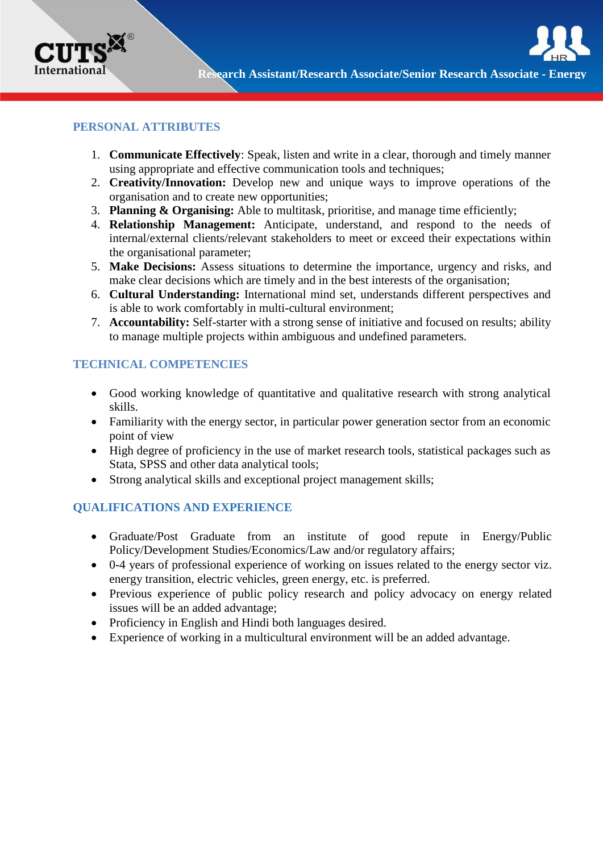

### **PERSONAL ATTRIBUTES**

- 1. **Communicate Effectively**: Speak, listen and write in a clear, thorough and timely manner using appropriate and effective communication tools and techniques;
- 2. **Creativity/Innovation:** Develop new and unique ways to improve operations of the organisation and to create new opportunities;
- 3. **Planning & Organising:** Able to multitask, prioritise, and manage time efficiently;
- 4. **Relationship Management:** Anticipate, understand, and respond to the needs of internal/external clients/relevant stakeholders to meet or exceed their expectations within the organisational parameter;
- 5. **Make Decisions:** Assess situations to determine the importance, urgency and risks, and make clear decisions which are timely and in the best interests of the organisation;
- 6. **Cultural Understanding:** International mind set, understands different perspectives and is able to work comfortably in multi-cultural environment;
- 7. **Accountability:** Self-starter with a strong sense of initiative and focused on results; ability to manage multiple projects within ambiguous and undefined parameters.

## **TECHNICAL COMPETENCIES**

- Good working knowledge of quantitative and qualitative research with strong analytical skills.
- Familiarity with the energy sector, in particular power generation sector from an economic point of view
- High degree of proficiency in the use of market research tools, statistical packages such as Stata, SPSS and other data analytical tools;
- Strong analytical skills and exceptional project management skills;

# **QUALIFICATIONS AND EXPERIENCE**

- Graduate/Post Graduate from an institute of good repute in Energy/Public Policy/Development Studies/Economics/Law and/or regulatory affairs;
- 0-4 years of professional experience of working on issues related to the energy sector viz. energy transition, electric vehicles, green energy, etc. is preferred.
- Previous experience of public policy research and policy advocacy on energy related issues will be an added advantage;
- Proficiency in English and Hindi both languages desired.
- Experience of working in a multicultural environment will be an added advantage.